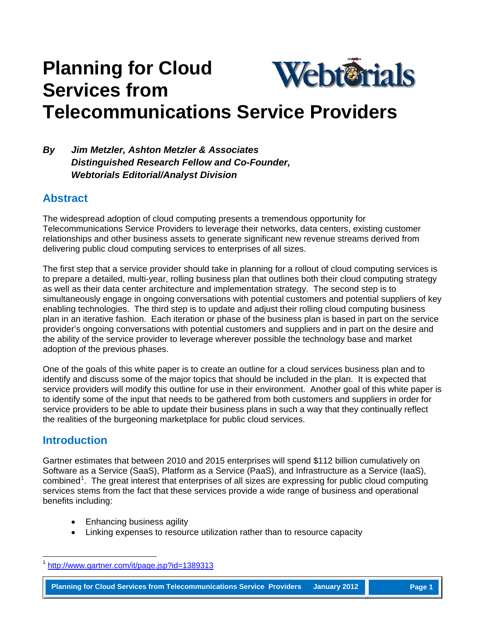# **Planning for Cloud**  Webterials **Services from Telecommunications Service Providers**

### *By Jim Metzler, Ashton Metzler & Associates Distinguished Research Fellow and Co-Founder, Webtorials Editorial/Analyst Division*

# **Abstract**

The widespread adoption of cloud computing presents a tremendous opportunity for Telecommunications Service Providers to leverage their networks, data centers, existing customer relationships and other business assets to generate significant new revenue streams derived from delivering public cloud computing services to enterprises of all sizes.

The first step that a service provider should take in planning for a rollout of cloud computing services is to prepare a detailed, multi-year, rolling business plan that outlines both their cloud computing strategy as well as their data center architecture and implementation strategy. The second step is to simultaneously engage in ongoing conversations with potential customers and potential suppliers of key enabling technologies. The third step is to update and adjust their rolling cloud computing business plan in an iterative fashion. Each iteration or phase of the business plan is based in part on the service provider's ongoing conversations with potential customers and suppliers and in part on the desire and the ability of the service provider to leverage wherever possible the technology base and market adoption of the previous phases.

One of the goals of this white paper is to create an outline for a cloud services business plan and to identify and discuss some of the major topics that should be included in the plan. It is expected that service providers will modify this outline for use in their environment. Another goal of this white paper is to identify some of the input that needs to be gathered from both customers and suppliers in order for service providers to be able to update their business plans in such a way that they continually reflect the realities of the burgeoning marketplace for public cloud services.

# **Introduction**

Gartner estimates that between 2010 and 2015 enterprises will spend \$112 billion cumulatively on Software as a Service (SaaS), Platform as a Service (PaaS), and Infrastructure as a Service (IaaS), combined<sup>[1](#page-0-0)</sup>. The great interest that enterprises of all sizes are expressing for public cloud computing services stems from the fact that these services provide a wide range of business and operational benefits including:

- Enhancing business agility
- Linking expenses to resource utilization rather than to resource capacity

**Planning for Cloud Services from Telecommunications Service Providers January 2012 Page 1**

<span id="page-0-0"></span><http://www.gartner.com/it/page.jsp?id=1389313>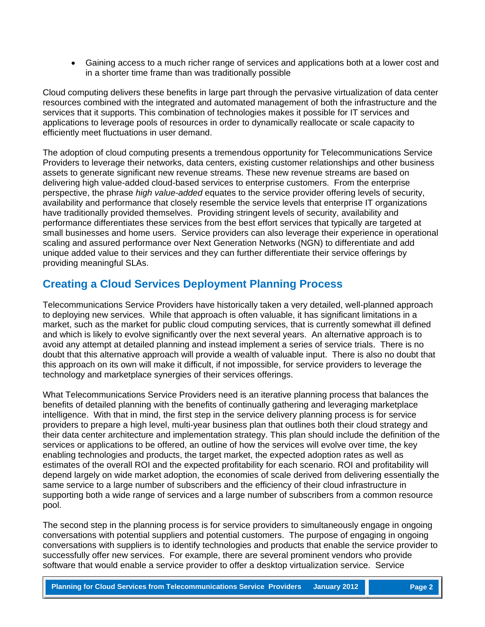• Gaining access to a much richer range of services and applications both at a lower cost and in a shorter time frame than was traditionally possible

Cloud computing delivers these benefits in large part through the pervasive virtualization of data center resources combined with the integrated and automated management of both the infrastructure and the services that it supports. This combination of technologies makes it possible for IT services and applications to leverage pools of resources in order to dynamically reallocate or scale capacity to efficiently meet fluctuations in user demand.

The adoption of cloud computing presents a tremendous opportunity for Telecommunications Service Providers to leverage their networks, data centers, existing customer relationships and other business assets to generate significant new revenue streams. These new revenue streams are based on delivering high value-added cloud-based services to enterprise customers. From the enterprise perspective, the phrase *high value-added* equates to the service provider offering levels of security, availability and performance that closely resemble the service levels that enterprise IT organizations have traditionally provided themselves. Providing stringent levels of security, availability and performance differentiates these services from the best effort services that typically are targeted at small businesses and home users. Service providers can also leverage their experience in operational scaling and assured performance over Next Generation Networks (NGN) to differentiate and add unique added value to their services and they can further differentiate their service offerings by providing meaningful SLAs.

# **Creating a Cloud Services Deployment Planning Process**

Telecommunications Service Providers have historically taken a very detailed, well-planned approach to deploying new services. While that approach is often valuable, it has significant limitations in a market, such as the market for public cloud computing services, that is currently somewhat ill defined and which is likely to evolve significantly over the next several years. An alternative approach is to avoid any attempt at detailed planning and instead implement a series of service trials. There is no doubt that this alternative approach will provide a wealth of valuable input. There is also no doubt that this approach on its own will make it difficult, if not impossible, for service providers to leverage the technology and marketplace synergies of their services offerings.

What Telecommunications Service Providers need is an iterative planning process that balances the benefits of detailed planning with the benefits of continually gathering and leveraging marketplace intelligence. With that in mind, the first step in the service delivery planning process is for service providers to prepare a high level, multi-year business plan that outlines both their cloud strategy and their data center architecture and implementation strategy. This plan should include the definition of the services or applications to be offered, an outline of how the services will evolve over time, the key enabling technologies and products, the target market, the expected adoption rates as well as estimates of the overall ROI and the expected profitability for each scenario. ROI and profitability will depend largely on wide market adoption, the economies of scale derived from delivering essentially the same service to a large number of subscribers and the efficiency of their cloud infrastructure in supporting both a wide range of services and a large number of subscribers from a common resource pool.

The second step in the planning process is for service providers to simultaneously engage in ongoing conversations with potential suppliers and potential customers. The purpose of engaging in ongoing conversations with suppliers is to identify technologies and products that enable the service provider to successfully offer new services. For example, there are several prominent vendors who provide software that would enable a service provider to offer a desktop virtualization service. Service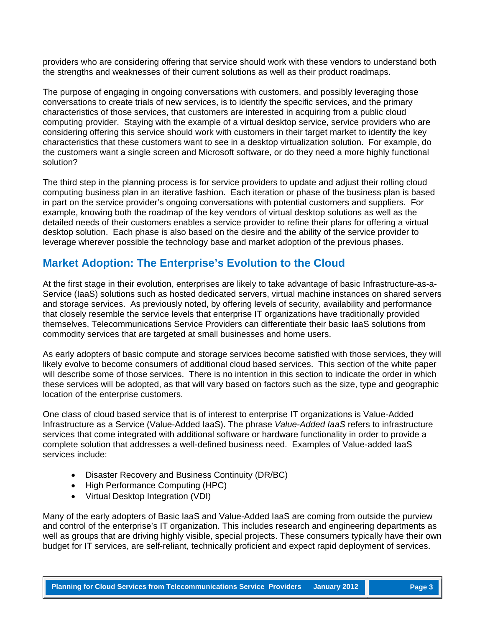providers who are considering offering that service should work with these vendors to understand both the strengths and weaknesses of their current solutions as well as their product roadmaps.

The purpose of engaging in ongoing conversations with customers, and possibly leveraging those conversations to create trials of new services, is to identify the specific services, and the primary characteristics of those services, that customers are interested in acquiring from a public cloud computing provider. Staying with the example of a virtual desktop service, service providers who are considering offering this service should work with customers in their target market to identify the key characteristics that these customers want to see in a desktop virtualization solution. For example, do the customers want a single screen and Microsoft software, or do they need a more highly functional solution?

The third step in the planning process is for service providers to update and adjust their rolling cloud computing business plan in an iterative fashion. Each iteration or phase of the business plan is based in part on the service provider's ongoing conversations with potential customers and suppliers. For example, knowing both the roadmap of the key vendors of virtual desktop solutions as well as the detailed needs of their customers enables a service provider to refine their plans for offering a virtual desktop solution. Each phase is also based on the desire and the ability of the service provider to leverage wherever possible the technology base and market adoption of the previous phases.

### **Market Adoption: The Enterprise's Evolution to the Cloud**

At the first stage in their evolution, enterprises are likely to take advantage of basic Infrastructure-as-a-Service (IaaS) solutions such as hosted dedicated servers, virtual machine instances on shared servers and storage services. As previously noted, by offering levels of security, availability and performance that closely resemble the service levels that enterprise IT organizations have traditionally provided themselves, Telecommunications Service Providers can differentiate their basic IaaS solutions from commodity services that are targeted at small businesses and home users.

As early adopters of basic compute and storage services become satisfied with those services, they will likely evolve to become consumers of additional cloud based services. This section of the white paper will describe some of those services. There is no intention in this section to indicate the order in which these services will be adopted, as that will vary based on factors such as the size, type and geographic location of the enterprise customers.

One class of cloud based service that is of interest to enterprise IT organizations is Value-Added Infrastructure as a Service (Value-Added IaaS). The phrase *Value-Added IaaS* refers to infrastructure services that come integrated with additional software or hardware functionality in order to provide a complete solution that addresses a well-defined business need. Examples of Value-added IaaS services include:

- Disaster Recovery and Business Continuity (DR/BC)
- High Performance Computing (HPC)
- Virtual Desktop Integration (VDI)

Many of the early adopters of Basic IaaS and Value-Added IaaS are coming from outside the purview and control of the enterprise's IT organization. This includes research and engineering departments as well as groups that are driving highly visible, special projects. These consumers typically have their own budget for IT services, are self-reliant, technically proficient and expect rapid deployment of services.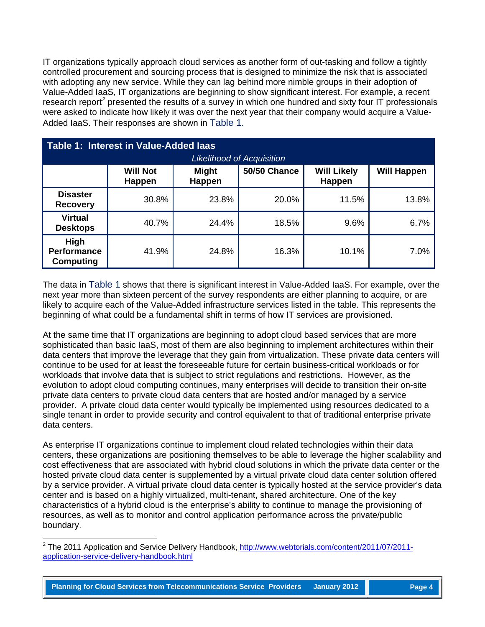IT organizations typically approach cloud services as another form of out-tasking and follow a tightly controlled procurement and sourcing process that is designed to minimize the risk that is associated with adopting any new service. While they can lag behind more nimble groups in their adoption of Value-Added IaaS, IT organizations are beginning to show significant interest. For example, a recent research report<sup>[2](#page-3-1)</sup> presented the results of a survey in which one hundred and sixty four IT professionals were asked to indicate how likely it was over the next year that their company would acquire a Value-Added IaaS. Their responses are shown in [Table 1.](#page-3-0)

<span id="page-3-0"></span>

| Table 1: Interest in Value-Added laas<br><b>Likelihood of Acquisition</b> |                                  |                        |                     |                                     |                    |  |  |
|---------------------------------------------------------------------------|----------------------------------|------------------------|---------------------|-------------------------------------|--------------------|--|--|
|                                                                           | <b>Will Not</b><br><b>Happen</b> | <b>Might</b><br>Happen | <b>50/50 Chance</b> | <b>Will Likely</b><br><b>Happen</b> | <b>Will Happen</b> |  |  |
| <b>Disaster</b><br><b>Recovery</b>                                        | 30.8%                            | 23.8%                  | 20.0%               | 11.5%                               | 13.8%              |  |  |
| <b>Virtual</b><br><b>Desktops</b>                                         | 40.7%                            | 24.4%                  | 18.5%               | 9.6%                                | 6.7%               |  |  |
| High<br><b>Performance</b><br><b>Computing</b>                            | 41.9%                            | 24.8%                  | 16.3%               | 10.1%                               | 7.0%               |  |  |

The data in [Table 1](#page-3-0) shows that there is significant interest in Value-Added IaaS. For example, over the next year more than sixteen percent of the survey respondents are either planning to acquire, or are likely to acquire each of the Value-Added infrastructure services listed in the table. This represents the beginning of what could be a fundamental shift in terms of how IT services are provisioned.

At the same time that IT organizations are beginning to adopt cloud based services that are more sophisticated than basic IaaS, most of them are also beginning to implement architectures within their data centers that improve the leverage that they gain from virtualization. These private data centers will continue to be used for at least the foreseeable future for certain business-critical workloads or for workloads that involve data that is subject to strict regulations and restrictions. However, as the evolution to adopt cloud computing continues, many enterprises will decide to transition their on-site private data centers to private cloud data centers that are hosted and/or managed by a service provider. A private cloud data center would typically be implemented using resources dedicated to a single tenant in order to provide security and control equivalent to that of traditional enterprise private data centers.

As enterprise IT organizations continue to implement cloud related technologies within their data centers, these organizations are positioning themselves to be able to leverage the higher scalability and cost effectiveness that are associated with hybrid cloud solutions in which the private data center or the hosted private cloud data center is supplemented by a virtual private cloud data center solution offered by a service provider. A virtual private cloud data center is typically hosted at the service provider's data center and is based on a highly virtualized, multi-tenant, shared architecture. One of the key characteristics of a hybrid cloud is the enterprise's ability to continue to manage the provisioning of resources, as well as to monitor and control application performance across the private/public boundary.

<span id="page-3-1"></span><sup>&</sup>lt;sup>2</sup> The 2011 Application and Service Delivery Handbook, [http://www.webtorials.com/content/2011/07/2011](http://www.webtorials.com/content/2011/07/2011-application-service-delivery-handbook.html) [application-service-delivery-handbook.html](http://www.webtorials.com/content/2011/07/2011-application-service-delivery-handbook.html)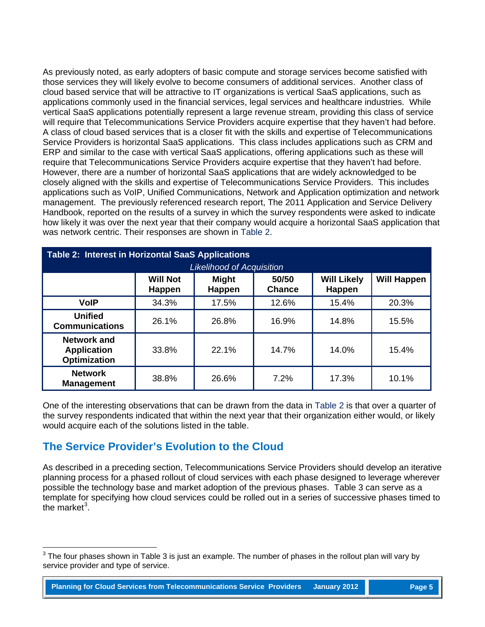As previously noted, as early adopters of basic compute and storage services become satisfied with those services they will likely evolve to become consumers of additional services. Another class of cloud based service that will be attractive to IT organizations is vertical SaaS applications, such as applications commonly used in the financial services, legal services and healthcare industries. While vertical SaaS applications potentially represent a large revenue stream, providing this class of service will require that Telecommunications Service Providers acquire expertise that they haven't had before. A class of cloud based services that is a closer fit with the skills and expertise of Telecommunications Service Providers is horizontal SaaS applications. This class includes applications such as CRM and ERP and similar to the case with vertical SaaS applications, offering applications such as these will require that Telecommunications Service Providers acquire expertise that they haven't had before. However, there are a number of horizontal SaaS applications that are widely acknowledged to be closely aligned with the skills and expertise of Telecommunications Service Providers. This includes applications such as VoIP, Unified Communications, Network and Application optimization and network management. The previously referenced research report, The 2011 Application and Service Delivery Handbook, reported on the results of a survey in which the survey respondents were asked to indicate how likely it was over the next year that their company would acquire a horizontal SaaS application that was network centric. Their responses are shown in [Table 2.](#page-4-0)

<span id="page-4-0"></span>

| <b>Table 2: Interest in Horizontal SaaS Applications</b>        |                                  |                        |                        |                              |                    |  |  |  |
|-----------------------------------------------------------------|----------------------------------|------------------------|------------------------|------------------------------|--------------------|--|--|--|
| <b>Likelihood of Acquisition</b>                                |                                  |                        |                        |                              |                    |  |  |  |
|                                                                 | <b>Will Not</b><br><b>Happen</b> | <b>Might</b><br>Happen | 50/50<br><b>Chance</b> | <b>Will Likely</b><br>Happen | <b>Will Happen</b> |  |  |  |
| <b>VolP</b>                                                     | 34.3%                            | 17.5%                  | 12.6%                  | 15.4%                        | 20.3%              |  |  |  |
| <b>Unified</b><br><b>Communications</b>                         | 26.1%                            | 26.8%                  | 16.9%                  | 14.8%                        | 15.5%              |  |  |  |
| <b>Network and</b><br><b>Application</b><br><b>Optimization</b> | 33.8%                            | 22.1%                  | 14.7%                  | 14.0%                        | 15.4%              |  |  |  |
| <b>Network</b><br><b>Management</b>                             | 38.8%                            | 26.6%                  | 7.2%                   | 17.3%                        | 10.1%              |  |  |  |

One of the interesting observations that can be drawn from the data in [Table 2](#page-4-0) is that over a quarter of the survey respondents indicated that within the next year that their organization either would, or likely would acquire each of the solutions listed in the table.

# **The Service Provider's Evolution to the Cloud**

As described in a preceding section, Telecommunications Service Providers should develop an iterative planning process for a phased rollout of cloud services with each phase designed to leverage wherever possible the technology base and market adoption of the previous phases. Table 3 can serve as a template for specifying how cloud services could be rolled out in a series of successive phases timed to the market<sup>[3](#page-4-1)</sup>.

<span id="page-4-1"></span> $3$  The four phases shown in Table 3 is just an example. The number of phases in the rollout plan will vary by service provider and type of service.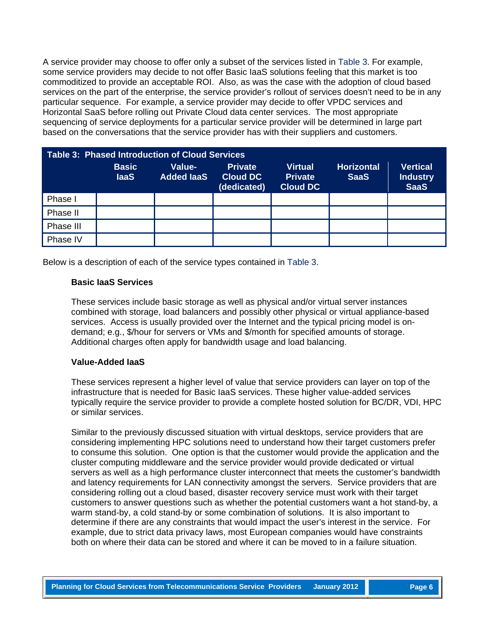A service provider may choose to offer only a subset of the services listed in [Table 3.](#page-5-0) For example, some service providers may decide to not offer Basic IaaS solutions feeling that this market is too commoditized to provide an acceptable ROI. Also, as was the case with the adoption of cloud based services on the part of the enterprise, the service provider's rollout of services doesn't need to be in any particular sequence. For example, a service provider may decide to offer VPDC services and Horizontal SaaS before rolling out Private Cloud data center services. The most appropriate sequencing of service deployments for a particular service provider will be determined in large part based on the conversations that the service provider has with their suppliers and customers.

<span id="page-5-0"></span>

| <b>Table 3: Phased Introduction of Cloud Services</b> |                             |                             |                                                  |                                                     |                                  |                                                   |  |
|-------------------------------------------------------|-----------------------------|-----------------------------|--------------------------------------------------|-----------------------------------------------------|----------------------------------|---------------------------------------------------|--|
|                                                       | <b>Basic</b><br><b>laaS</b> | Value-<br><b>Added laaS</b> | <b>Private</b><br><b>Cloud DC</b><br>(dedicated) | <b>Virtual</b><br><b>Private</b><br><b>Cloud DC</b> | <b>Horizontal</b><br><b>SaaS</b> | <b>Vertical</b><br><b>Industry</b><br><b>SaaS</b> |  |
| Phase I                                               |                             |                             |                                                  |                                                     |                                  |                                                   |  |
| Phase II                                              |                             |                             |                                                  |                                                     |                                  |                                                   |  |
| Phase III                                             |                             |                             |                                                  |                                                     |                                  |                                                   |  |
| Phase IV                                              |                             |                             |                                                  |                                                     |                                  |                                                   |  |

Below is a description of each of the service types contained in [Table 3.](#page-5-0)

#### **Basic IaaS Services**

These services include basic storage as well as physical and/or virtual server instances combined with storage, load balancers and possibly other physical or virtual appliance-based services. Access is usually provided over the Internet and the typical pricing model is ondemand; e.g., \$/hour for servers or VMs and \$/month for specified amounts of storage. Additional charges often apply for bandwidth usage and load balancing.

#### **Value-Added IaaS**

These services represent a higher level of value that service providers can layer on top of the infrastructure that is needed for Basic IaaS services. These higher value-added services typically require the service provider to provide a complete hosted solution for BC/DR, VDI, HPC or similar services.

Similar to the previously discussed situation with virtual desktops, service providers that are considering implementing HPC solutions need to understand how their target customers prefer to consume this solution. One option is that the customer would provide the application and the cluster computing middleware and the service provider would provide dedicated or virtual servers as well as a high performance cluster interconnect that meets the customer's bandwidth and latency requirements for LAN connectivity amongst the servers. Service providers that are considering rolling out a cloud based, disaster recovery service must work with their target customers to answer questions such as whether the potential customers want a hot stand-by, a warm stand-by, a cold stand-by or some combination of solutions. It is also important to determine if there are any constraints that would impact the user's interest in the service. For example, due to strict data privacy laws, most European companies would have constraints both on where their data can be stored and where it can be moved to in a failure situation.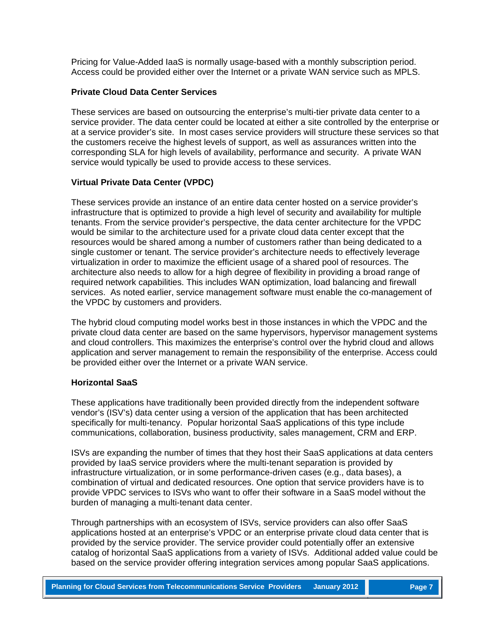Pricing for Value-Added IaaS is normally usage-based with a monthly subscription period. Access could be provided either over the Internet or a private WAN service such as MPLS.

#### **Private Cloud Data Center Services**

These services are based on outsourcing the enterprise's multi-tier private data center to a service provider. The data center could be located at either a site controlled by the enterprise or at a service provider's site. In most cases service providers will structure these services so that the customers receive the highest levels of support, as well as assurances written into the corresponding SLA for high levels of availability, performance and security. A private WAN service would typically be used to provide access to these services.

#### **Virtual Private Data Center (VPDC)**

These services provide an instance of an entire data center hosted on a service provider's infrastructure that is optimized to provide a high level of security and availability for multiple tenants. From the service provider's perspective, the data center architecture for the VPDC would be similar to the architecture used for a private cloud data center except that the resources would be shared among a number of customers rather than being dedicated to a single customer or tenant. The service provider's architecture needs to effectively leverage virtualization in order to maximize the efficient usage of a shared pool of resources. The architecture also needs to allow for a high degree of flexibility in providing a broad range of required network capabilities. This includes WAN optimization, load balancing and firewall services. As noted earlier, service management software must enable the co-management of the VPDC by customers and providers.

The hybrid cloud computing model works best in those instances in which the VPDC and the private cloud data center are based on the same hypervisors, hypervisor management systems and cloud controllers. This maximizes the enterprise's control over the hybrid cloud and allows application and server management to remain the responsibility of the enterprise. Access could be provided either over the Internet or a private WAN service.

#### **Horizontal SaaS**

These applications have traditionally been provided directly from the independent software vendor's (ISV's) data center using a version of the application that has been architected specifically for multi-tenancy. Popular horizontal SaaS applications of this type include communications, collaboration, business productivity, sales management, CRM and ERP.

ISVs are expanding the number of times that they host their SaaS applications at data centers provided by IaaS service providers where the multi-tenant separation is provided by infrastructure virtualization, or in some performance-driven cases (e.g., data bases), a combination of virtual and dedicated resources. One option that service providers have is to provide VPDC services to ISVs who want to offer their software in a SaaS model without the burden of managing a multi-tenant data center.

Through partnerships with an ecosystem of ISVs, service providers can also offer SaaS applications hosted at an enterprise's VPDC or an enterprise private cloud data center that is provided by the service provider. The service provider could potentially offer an extensive catalog of horizontal SaaS applications from a variety of ISVs. Additional added value could be based on the service provider offering integration services among popular SaaS applications.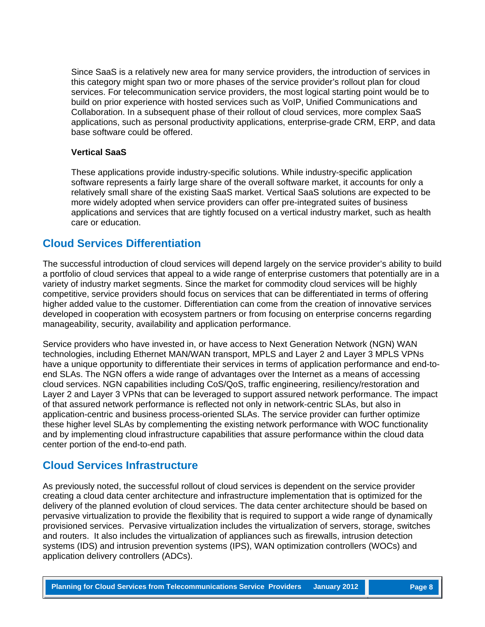Since SaaS is a relatively new area for many service providers, the introduction of services in this category might span two or more phases of the service provider's rollout plan for cloud services. For telecommunication service providers, the most logical starting point would be to build on prior experience with hosted services such as VoIP, Unified Communications and Collaboration. In a subsequent phase of their rollout of cloud services, more complex SaaS applications, such as personal productivity applications, enterprise-grade CRM, ERP, and data base software could be offered.

#### **Vertical SaaS**

These applications provide industry-specific solutions. While industry-specific application software represents a fairly large share of the overall software market, it accounts for only a relatively small share of the existing SaaS market. Vertical SaaS solutions are expected to be more widely adopted when service providers can offer pre-integrated suites of business applications and services that are tightly focused on a vertical industry market, such as health care or education.

### **Cloud Services Differentiation**

The successful introduction of cloud services will depend largely on the service provider's ability to build a portfolio of cloud services that appeal to a wide range of enterprise customers that potentially are in a variety of industry market segments. Since the market for commodity cloud services will be highly competitive, service providers should focus on services that can be differentiated in terms of offering higher added value to the customer. Differentiation can come from the creation of innovative services developed in cooperation with ecosystem partners or from focusing on enterprise concerns regarding manageability, security, availability and application performance.

Service providers who have invested in, or have access to Next Generation Network (NGN) WAN technologies, including Ethernet MAN/WAN transport, MPLS and Layer 2 and Layer 3 MPLS VPNs have a unique opportunity to differentiate their services in terms of application performance and end-toend SLAs. The NGN offers a wide range of advantages over the Internet as a means of accessing cloud services. NGN capabilities including CoS/QoS, traffic engineering, resiliency/restoration and Layer 2 and Layer 3 VPNs that can be leveraged to support assured network performance. The impact of that assured network performance is reflected not only in network-centric SLAs, but also in application-centric and business process-oriented SLAs. The service provider can further optimize these higher level SLAs by complementing the existing network performance with WOC functionality and by implementing cloud infrastructure capabilities that assure performance within the cloud data center portion of the end-to-end path.

### **Cloud Services Infrastructure**

As previously noted, the successful rollout of cloud services is dependent on the service provider creating a cloud data center architecture and infrastructure implementation that is optimized for the delivery of the planned evolution of cloud services. The data center architecture should be based on pervasive virtualization to provide the flexibility that is required to support a wide range of dynamically provisioned services. Pervasive virtualization includes the virtualization of servers, storage, switches and routers. It also includes the virtualization of appliances such as firewalls, intrusion detection systems (IDS) and intrusion prevention systems (IPS), WAN optimization controllers (WOCs) and application delivery controllers (ADCs).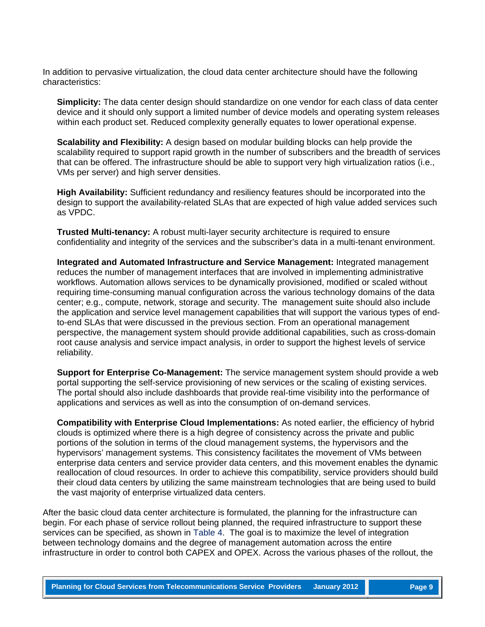In addition to pervasive virtualization, the cloud data center architecture should have the following characteristics:

**Simplicity:** The data center design should standardize on one vendor for each class of data center device and it should only support a limited number of device models and operating system releases within each product set. Reduced complexity generally equates to lower operational expense.

**Scalability and Flexibility:** A design based on modular building blocks can help provide the scalability required to support rapid growth in the number of subscribers and the breadth of services that can be offered. The infrastructure should be able to support very high virtualization ratios (i.e., VMs per server) and high server densities.

**High Availability:** Sufficient redundancy and resiliency features should be incorporated into the design to support the availability-related SLAs that are expected of high value added services such as VPDC.

**Trusted Multi-tenancy:** A robust multi-layer security architecture is required to ensure confidentiality and integrity of the services and the subscriber's data in a multi-tenant environment.

**Integrated and Automated Infrastructure and Service Management:** Integrated management reduces the number of management interfaces that are involved in implementing administrative workflows. Automation allows services to be dynamically provisioned, modified or scaled without requiring time-consuming manual configuration across the various technology domains of the data center; e.g., compute, network, storage and security. The management suite should also include the application and service level management capabilities that will support the various types of endto-end SLAs that were discussed in the previous section. From an operational management perspective, the management system should provide additional capabilities, such as cross-domain root cause analysis and service impact analysis, in order to support the highest levels of service reliability.

**Support for Enterprise Co-Management:** The service management system should provide a web portal supporting the self-service provisioning of new services or the scaling of existing services. The portal should also include dashboards that provide real-time visibility into the performance of applications and services as well as into the consumption of on-demand services.

**Compatibility with Enterprise Cloud Implementations:** As noted earlier, the efficiency of hybrid clouds is optimized where there is a high degree of consistency across the private and public portions of the solution in terms of the cloud management systems, the hypervisors and the hypervisors' management systems. This consistency facilitates the movement of VMs between enterprise data centers and service provider data centers, and this movement enables the dynamic reallocation of cloud resources. In order to achieve this compatibility, service providers should build their cloud data centers by utilizing the same mainstream technologies that are being used to build the vast majority of enterprise virtualized data centers.

After the basic cloud data center architecture is formulated, the planning for the infrastructure can begin. For each phase of service rollout being planned, the required infrastructure to support these services can be specified, as shown in [Table 4.](#page-9-0) The goal is to maximize the level of integration between technology domains and the degree of management automation across the entire infrastructure in order to control both CAPEX and OPEX. Across the various phases of the rollout, the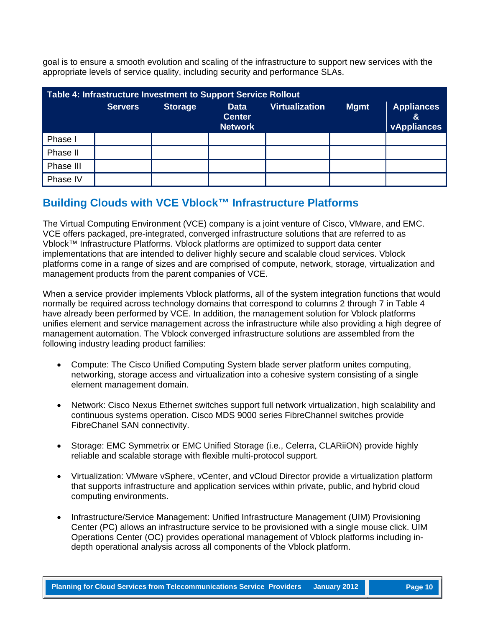goal is to ensure a smooth evolution and scaling of the infrastructure to support new services with the appropriate levels of service quality, including security and performance SLAs.

<span id="page-9-0"></span>

| Table 4: Infrastructure Investment to Support Service Rollout |                |                |                                                |                       |             |                                              |  |
|---------------------------------------------------------------|----------------|----------------|------------------------------------------------|-----------------------|-------------|----------------------------------------------|--|
|                                                               | <b>Servers</b> | <b>Storage</b> | <b>Data</b><br><b>Center</b><br><b>Network</b> | <b>Virtualization</b> | <b>Mgmt</b> | <b>Appliances</b><br>&<br><b>vAppliances</b> |  |
| Phase I                                                       |                |                |                                                |                       |             |                                              |  |
| Phase II                                                      |                |                |                                                |                       |             |                                              |  |
| Phase III                                                     |                |                |                                                |                       |             |                                              |  |
| Phase IV                                                      |                |                |                                                |                       |             |                                              |  |

# **Building Clouds with VCE Vblock™ Infrastructure Platforms**

The Virtual Computing Environment (VCE) company is a joint venture of Cisco, VMware, and EMC. VCE offers packaged, pre-integrated, converged infrastructure solutions that are referred to as Vblock™ Infrastructure Platforms. Vblock platforms are optimized to support data center implementations that are intended to deliver highly secure and scalable cloud services. Vblock platforms come in a range of sizes and are comprised of compute, network, storage, virtualization and management products from the parent companies of VCE.

When a service provider implements Vblock platforms, all of the system integration functions that would normally be required across technology domains that correspond to columns 2 through 7 in Table 4 have already been performed by VCE. In addition, the management solution for Vblock platforms unifies element and service management across the infrastructure while also providing a high degree of management automation. The Vblock converged infrastructure solutions are assembled from the following industry leading product families:

- Compute: The Cisco Unified Computing System blade server platform unites computing, networking, storage access and virtualization into a cohesive system consisting of a single element management domain.
- Network: Cisco Nexus Ethernet switches support full network virtualization, high scalability and continuous systems operation. Cisco MDS 9000 series FibreChannel switches provide FibreChanel SAN connectivity.
- Storage: EMC Symmetrix or EMC Unified Storage (i.e., Celerra, CLARiiON) provide highly reliable and scalable storage with flexible multi-protocol support.
- Virtualization: VMware vSphere, vCenter, and vCloud Director provide a virtualization platform that supports infrastructure and application services within private, public, and hybrid cloud computing environments.
- Infrastructure/Service Management: Unified Infrastructure Management (UIM) Provisioning Center (PC) allows an infrastructure service to be provisioned with a single mouse click. UIM Operations Center (OC) provides operational management of Vblock platforms including indepth operational analysis across all components of the Vblock platform.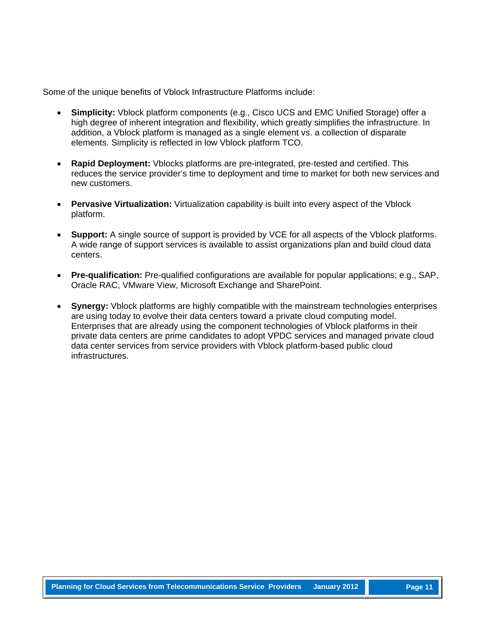Some of the unique benefits of Vblock Infrastructure Platforms include:

- **Simplicity:** Vblock platform components (e.g., Cisco UCS and EMC Unified Storage) offer a high degree of inherent integration and flexibility, which greatly simplifies the infrastructure. In addition, a Vblock platform is managed as a single element vs. a collection of disparate elements. Simplicity is reflected in low Vblock platform TCO.
- **Rapid Deployment:** Vblocks platforms are pre-integrated, pre-tested and certified. This reduces the service provider's time to deployment and time to market for both new services and new customers.
- **Pervasive Virtualization:** Virtualization capability is built into every aspect of the Vblock platform.
- **Support:** A single source of support is provided by VCE for all aspects of the Vblock platforms. A wide range of support services is available to assist organizations plan and build cloud data centers.
- **Pre-qualification:** Pre-qualified configurations are available for popular applications; e.g., SAP, Oracle RAC, VMware View, Microsoft Exchange and SharePoint.
- **Synergy:** Vblock platforms are highly compatible with the mainstream technologies enterprises are using today to evolve their data centers toward a private cloud computing model. Enterprises that are already using the component technologies of Vblock platforms in their private data centers are prime candidates to adopt VPDC services and managed private cloud data center services from service providers with Vblock platform-based public cloud infrastructures.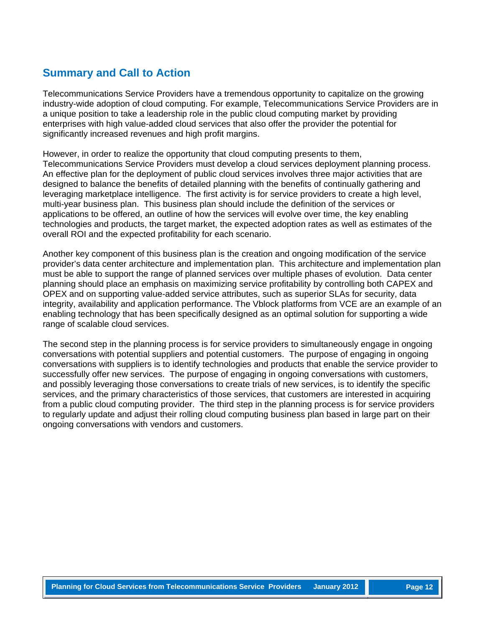# **Summary and Call to Action**

Telecommunications Service Providers have a tremendous opportunity to capitalize on the growing industry-wide adoption of cloud computing. For example, Telecommunications Service Providers are in a unique position to take a leadership role in the public cloud computing market by providing enterprises with high value-added cloud services that also offer the provider the potential for significantly increased revenues and high profit margins.

However, in order to realize the opportunity that cloud computing presents to them, Telecommunications Service Providers must develop a cloud services deployment planning process. An effective plan for the deployment of public cloud services involves three major activities that are designed to balance the benefits of detailed planning with the benefits of continually gathering and leveraging marketplace intelligence. The first activity is for service providers to create a high level, multi-year business plan. This business plan should include the definition of the services or applications to be offered, an outline of how the services will evolve over time, the key enabling technologies and products, the target market, the expected adoption rates as well as estimates of the overall ROI and the expected profitability for each scenario.

Another key component of this business plan is the creation and ongoing modification of the service provider's data center architecture and implementation plan. This architecture and implementation plan must be able to support the range of planned services over multiple phases of evolution. Data center planning should place an emphasis on maximizing service profitability by controlling both CAPEX and OPEX and on supporting value-added service attributes, such as superior SLAs for security, data integrity, availability and application performance. The Vblock platforms from VCE are an example of an enabling technology that has been specifically designed as an optimal solution for supporting a wide range of scalable cloud services.

The second step in the planning process is for service providers to simultaneously engage in ongoing conversations with potential suppliers and potential customers. The purpose of engaging in ongoing conversations with suppliers is to identify technologies and products that enable the service provider to successfully offer new services. The purpose of engaging in ongoing conversations with customers, and possibly leveraging those conversations to create trials of new services, is to identify the specific services, and the primary characteristics of those services, that customers are interested in acquiring from a public cloud computing provider. The third step in the planning process is for service providers to regularly update and adjust their rolling cloud computing business plan based in large part on their ongoing conversations with vendors and customers.